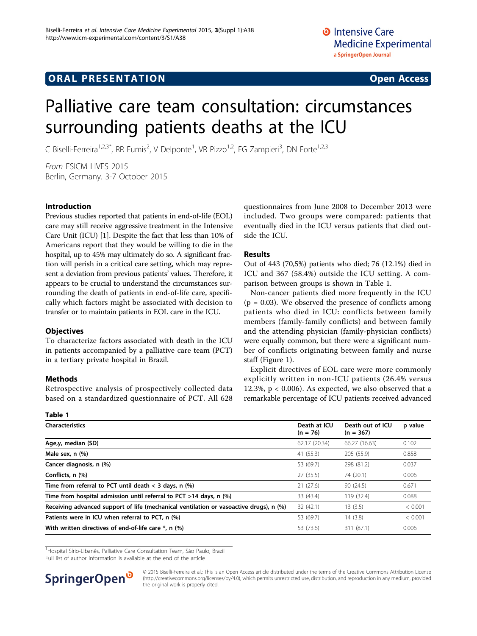## **ORAL PRESENTATION OPEN ACCESS**

# Palliative care team consultation: circumstances surrounding patients deaths at the ICU

C Biselli-Ferreira<sup>1,2,3\*</sup>, RR Fumis<sup>2</sup>, V Delponte<sup>1</sup>, VR Pizzo<sup>1,2</sup>, FG Zampieri<sup>3</sup>, DN Forte<sup>1,2,3</sup>

From ESICM LIVES 2015 Berlin, Germany. 3-7 October 2015

## Introduction

Previous studies reported that patients in end-of-life (EOL) care may still receive aggressive treatment in the Intensive Care Unit (ICU) [\[1](#page-1-0)]. Despite the fact that less than 10% of Americans report that they would be willing to die in the hospital, up to 45% may ultimately do so. A significant fraction will perish in a critical care setting, which may represent a deviation from previous patients' values. Therefore, it appears to be crucial to understand the circumstances surrounding the death of patients in end-of-life care, specifically which factors might be associated with decision to transfer or to maintain patients in EOL care in the ICU.

## **Objectives**

To characterize factors associated with death in the ICU in patients accompanied by a palliative care team (PCT) in a tertiary private hospital in Brazil.

## Methods

Retrospective analysis of prospectively collected data based on a standardized questionnaire of PCT. All 628

questionnaires from June 2008 to December 2013 were included. Two groups were compared: patients that eventually died in the ICU versus patients that died outside the ICU.

## Results

Out of 443 (70,5%) patients who died; 76 (12.1%) died in ICU and 367 (58.4%) outside the ICU setting. A comparison between groups is shown in Table 1.

Non-cancer patients died more frequently in the ICU  $(p = 0.03)$ . We observed the presence of conflicts among patients who died in ICU: conflicts between family members (family-family conflicts) and between family and the attending physician (family-physician conflicts) were equally common, but there were a significant number of conflicts originating between family and nurse staff (Figure [1\)](#page-1-0).

Explicit directives of EOL care were more commonly explicitly written in non-ICU patients (26.4% versus 12.3%,  $p < 0.006$ ). As expected, we also observed that a remarkable percentage of ICU patients received advanced

| Table 1                                                                                |                            |                                 |         |
|----------------------------------------------------------------------------------------|----------------------------|---------------------------------|---------|
| <b>Characteristics</b>                                                                 | Death at ICU<br>$(n = 76)$ | Death out of ICU<br>$(n = 367)$ | p value |
| Age,y, median (SD)                                                                     | 62.17 (20.34)              | 66.27 (16.63)                   | 0.102   |
| Male sex, n (%)                                                                        | 41 (55.3)                  | 205 (55.9)                      | 0.858   |
| Cancer diagnosis, n (%)                                                                | 53 (69.7)                  | 298 (81.2)                      | 0.037   |
| Conflicts, n (%)                                                                       | 27 (35.5)                  | 74 (20.1)                       | 0.006   |
| Time from referral to PCT until death $<$ 3 days, n $\left(\% \right)$                 | 21(27.6)                   | 90 (24.5)                       | 0.671   |
| Time from hospital admission until referral to PCT $>$ 14 days, n (%)                  | 33 (43.4)                  | 119 (32.4)                      | 0.088   |
| Receiving advanced support of life (mechanical ventilation or vasoactive drugs), n (%) | 32 (42.1)                  | 13(3.5)                         | < 0.001 |
| Patients were in ICU when referral to PCT, n (%)                                       | 53 (69.7)                  | 14(3.8)                         | < 0.001 |
| With written directives of end-of-life care *, n (%)                                   | 53 (73.6)                  | 311 (87.1)                      | 0.006   |

<sup>1</sup>Hospital Sírio-Libanês, Palliative Care Consultation Team, São Paulo, Brazil

Full list of author information is available at the end of the article



© 2015 Biselli-Ferreira et al.; This is an Open Access article distributed under the terms of the Creative Commons Attribution License [\(http://creativecommons.org/licenses/by/4.0](http://creativecommons.org/licenses/by/4.0)), which permits unrestricted use, distribution, and reproduction in any medium, provided the original work is properly cited.